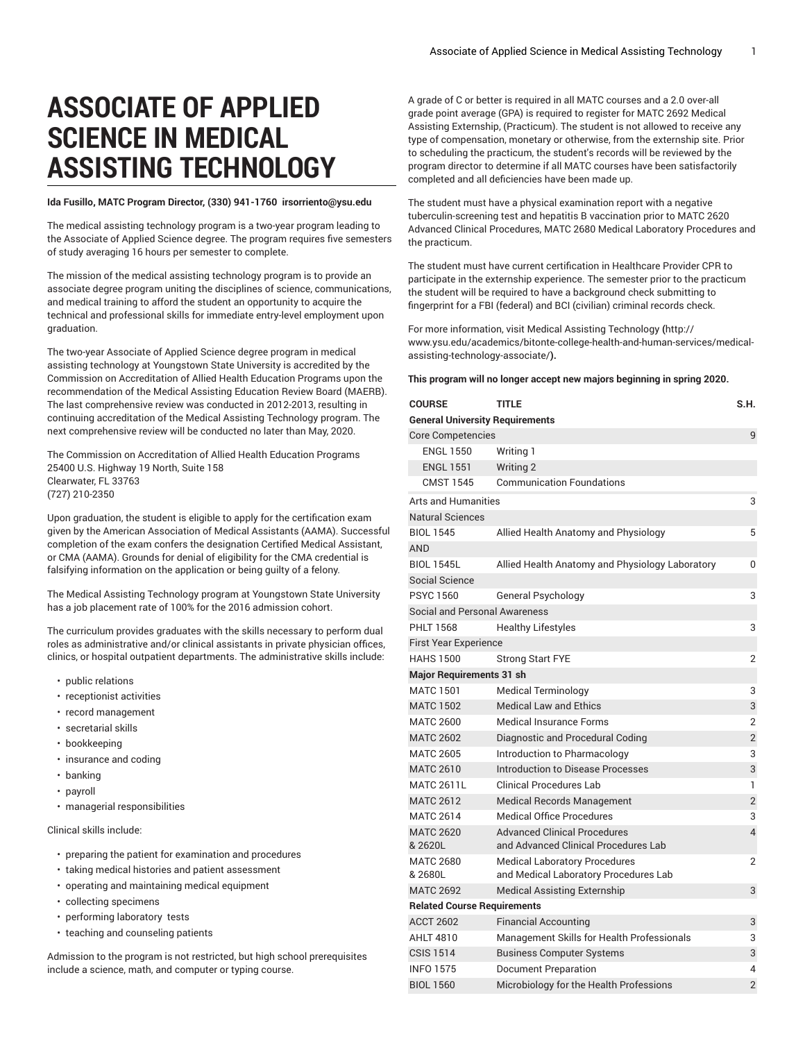## **ASSOCIATE OF APPLIED SCIENCE IN MEDICAL ASSISTING TECHNOLOGY**

## **Ida Fusillo, MATC Program Director, (330) 941-1760 irsorriento@ysu.edu**

The medical assisting technology program is a two-year program leading to the Associate of Applied Science degree. The program requires five semesters of study averaging 16 hours per semester to complete.

The mission of the medical assisting technology program is to provide an associate degree program uniting the disciplines of science, communications, and medical training to afford the student an opportunity to acquire the technical and professional skills for immediate entry-level employment upon graduation.

The two-year Associate of Applied Science degree program in medical assisting technology at Youngstown State University is accredited by the Commission on Accreditation of Allied Health Education Programs upon the recommendation of the Medical Assisting Education Review Board (MAERB). The last comprehensive review was conducted in 2012-2013, resulting in continuing accreditation of the Medical Assisting Technology program. The next comprehensive review will be conducted no later than May, 2020.

The Commission on Accreditation of Allied Health Education Programs 25400 U.S. Highway 19 North, Suite 158 Clearwater, FL 33763 (727) 210-2350

Upon graduation, the student is eligible to apply for the certification exam given by the American Association of Medical Assistants (AAMA). Successful completion of the exam confers the designation Certified Medical Assistant, or CMA (AAMA). Grounds for denial of eligibility for the CMA credential is falsifying information on the application or being guilty of a felony.

The Medical Assisting Technology program at Youngstown State University has a job placement rate of 100% for the 2016 admission cohort.

The curriculum provides graduates with the skills necessary to perform dual roles as administrative and/or clinical assistants in private physician offices, clinics, or hospital outpatient departments. The administrative skills include:

- public relations
- receptionist activities
- record management
- secretarial skills
- bookkeeping
- insurance and coding
- banking
- payroll
- managerial responsibilities

Clinical skills include:

- preparing the patient for examination and procedures
- taking medical histories and patient assessment
- operating and maintaining medical equipment
- collecting specimens
- performing laboratory tests
- teaching and counseling patients

Admission to the program is not restricted, but high school prerequisites include a science, math, and computer or typing course.

A grade of C or better is required in all MATC courses and a 2.0 over-all grade point average (GPA) is required to register for MATC 2692 Medical Assisting Externship, (Practicum). The student is not allowed to receive any type of compensation, monetary or otherwise, from the externship site. Prior to scheduling the practicum, the student's records will be reviewed by the program director to determine if all MATC courses have been satisfactorily completed and all deficiencies have been made up.

The student must have a physical examination report with a negative tuberculin-screening test and hepatitis B vaccination prior to MATC 2620 Advanced Clinical Procedures, MATC 2680 Medical Laboratory Procedures and the practicum.

The student must have current certification in Healthcare Provider CPR to participate in the externship experience. The semester prior to the practicum the student will be required to have a background check submitting to fingerprint for a FBI (federal) and BCI (civilian) criminal records check.

For more information, visit Medical Assisting [Technology](http://www.ysu.edu/academics/bitonte-college-health-and-human-services/medical-assisting-technology-associate/) **(**[http://](http://www.ysu.edu/academics/bitonte-college-health-and-human-services/medical-assisting-technology-associate/) [www.ysu.edu/academics/bitonte-college-health-and-human-services/medical](http://www.ysu.edu/academics/bitonte-college-health-and-human-services/medical-assisting-technology-associate/)[assisting-technology-associate/](http://www.ysu.edu/academics/bitonte-college-health-and-human-services/medical-assisting-technology-associate/)**).**

## **This program will no longer accept new majors beginning in spring 2020.**

| <b>COURSE</b>                          | TITLE                                                                         | S.H.           |  |  |
|----------------------------------------|-------------------------------------------------------------------------------|----------------|--|--|
| <b>General University Requirements</b> |                                                                               |                |  |  |
| <b>Core Competencies</b><br>9          |                                                                               |                |  |  |
| <b>ENGL 1550</b>                       | Writing 1                                                                     |                |  |  |
| <b>ENGL 1551</b>                       | <b>Writing 2</b>                                                              |                |  |  |
| <b>CMST 1545</b>                       | <b>Communication Foundations</b>                                              |                |  |  |
| <b>Arts and Humanities</b>             |                                                                               |                |  |  |
| <b>Natural Sciences</b>                |                                                                               |                |  |  |
| <b>BIOL 1545</b>                       | Allied Health Anatomy and Physiology                                          | 5              |  |  |
| <b>AND</b>                             |                                                                               |                |  |  |
| <b>BIOL 1545L</b>                      | Allied Health Anatomy and Physiology Laboratory                               | 0              |  |  |
| Social Science                         |                                                                               |                |  |  |
| <b>PSYC 1560</b>                       | General Psychology                                                            | 3              |  |  |
| <b>Social and Personal Awareness</b>   |                                                                               |                |  |  |
| <b>PHLT 1568</b>                       | <b>Healthy Lifestyles</b>                                                     | 3              |  |  |
| <b>First Year Experience</b>           |                                                                               |                |  |  |
| <b>HAHS 1500</b>                       | <b>Strong Start FYE</b>                                                       | $\overline{2}$ |  |  |
| <b>Major Requirements 31 sh</b>        |                                                                               |                |  |  |
| <b>MATC 1501</b>                       | <b>Medical Terminology</b>                                                    | 3              |  |  |
| <b>MATC 1502</b>                       | <b>Medical Law and Ethics</b>                                                 | 3              |  |  |
| <b>MATC 2600</b>                       | <b>Medical Insurance Forms</b>                                                | $\overline{2}$ |  |  |
| <b>MATC 2602</b>                       | Diagnostic and Procedural Coding                                              | $\overline{2}$ |  |  |
| <b>MATC 2605</b>                       | Introduction to Pharmacology                                                  | 3              |  |  |
| <b>MATC 2610</b>                       | Introduction to Disease Processes                                             | 3              |  |  |
| <b>MATC 2611L</b>                      | <b>Clinical Procedures Lab</b>                                                | 1              |  |  |
| <b>MATC 2612</b>                       | <b>Medical Records Management</b>                                             | $\overline{2}$ |  |  |
| <b>MATC 2614</b>                       | <b>Medical Office Procedures</b>                                              | 3              |  |  |
| <b>MATC 2620</b><br>& 2620L            | <b>Advanced Clinical Procedures</b><br>and Advanced Clinical Procedures Lab   | 4              |  |  |
| <b>MATC 2680</b><br>& 2680L            | <b>Medical Laboratory Procedures</b><br>and Medical Laboratory Procedures Lab | 2              |  |  |
| <b>MATC 2692</b>                       | <b>Medical Assisting Externship</b>                                           | 3              |  |  |
| <b>Related Course Requirements</b>     |                                                                               |                |  |  |
| <b>ACCT 2602</b>                       | <b>Financial Accounting</b>                                                   | 3              |  |  |
| <b>AHLT 4810</b>                       | Management Skills for Health Professionals                                    | 3              |  |  |
| <b>CSIS 1514</b>                       | <b>Business Computer Systems</b>                                              | 3              |  |  |
| <b>INFO 1575</b>                       | Document Preparation                                                          | 4              |  |  |
| <b>BIOL 1560</b>                       | Microbiology for the Health Professions                                       | $\overline{2}$ |  |  |
|                                        |                                                                               |                |  |  |